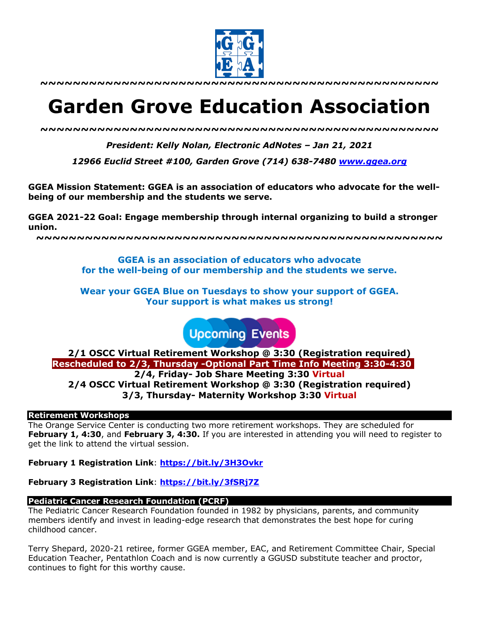

# **Garden Grove Education Association**

*~~~~~~~~~~~~~~~~~~~~~~~~~~~~~~~~~~~~~~~~~~~~~~~~~*

*President: Kelly Nolan, Electronic AdNotes – Jan 21, 2021*

*12966 Euclid Street #100, Garden Grove (714) 638-7480 www.ggea.org*

**GGEA Mission Statement: GGEA is an association of educators who advocate for the wellbeing of our membership and the students we serve.** 

**GGEA 2021-22 Goal: Engage membership through internal organizing to build a stronger union.**

**~~~~~~~~~~~~~~~~~~~~~~~~~~~~~~~~~~~~~~~~~~~~~~~~~~**

**GGEA is an association of educators who advocate for the well-being of our membership and the students we serve.**

**Wear your GGEA Blue on Tuesdays to show your support of GGEA. Your support is what makes us strong!**

**Upcoming Events** 

**2/1 OSCC Virtual Retirement Workshop @ 3:30 (Registration required) Rescheduled to 2/3, Thursday -Optional Part Time Info Meeting 3:30-4:30 2/4, Friday- Job Share Meeting 3:30 Virtual 2/4 OSCC Virtual Retirement Workshop @ 3:30 (Registration required) 3/3, Thursday- Maternity Workshop 3:30 Virtual**

## **Retirement Workshops**

The Orange Service Center is conducting two more retirement workshops. They are scheduled for **February 1, 4:30**, and **February 3, 4:30.** If you are interested in attending you will need to register to get the link to attend the virtual session.

**February 1 Registration Link**: **https://bit.ly/3H3Ovkr**

**February 3 Registration Link**: **https://bit.ly/3fSRj7Z**

## **Pediatric Cancer Research Foundation (PCRF)**

The Pediatric Cancer Research Foundation founded in 1982 by physicians, parents, and community members identify and invest in leading-edge research that demonstrates the best hope for curing childhood cancer.

Terry Shepard, 2020-21 retiree, former GGEA member, EAC, and Retirement Committee Chair, Special Education Teacher, Pentathlon Coach and is now currently a GGUSD substitute teacher and proctor, continues to fight for this worthy cause.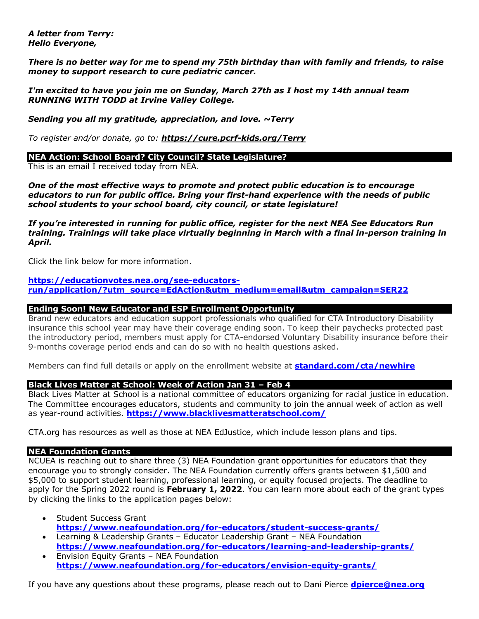#### *A letter from Terry: Hello Everyone,*

*There is no better way for me to spend my 75th birthday than with family and friends, to raise money to support research to cure pediatric cancer.*

*I'm excited to have you join me on Sunday, March 27th as I host my 14th annual team RUNNING WITH TODD at Irvine Valley College.*

*Sending you all my gratitude, appreciation, and love. ~Terry*

*To register and/or donate, go to: https://cure.pcrf-kids.org/Terry*

## **NEA Action: School Board? City Council? State Legislature?**

This is an email I received today from NEA.

*One of the most effective ways to promote and protect public education is to encourage educators to run for public office. Bring your first-hand experience with the needs of public school students to your school board, city council, or state legislature!*

*If you're interested in running for public office, register for the next NEA See Educators Run training. Trainings will take place virtually beginning in March with a final in-person training in April.*

Click the link below for more information.

**https://educationvotes.nea.org/see-educatorsrun/application/?utm\_source=EdAction&utm\_medium=email&utm\_campaign=SER22**

## **Ending Soon! New Educator and ESP Enrollment Opportunity**

Brand new educators and education support professionals who qualified for CTA Introductory Disability insurance this school year may have their coverage ending soon. To keep their paychecks protected past the introductory period, members must apply for CTA-endorsed Voluntary Disability insurance before their 9-months coverage period ends and can do so with no health questions asked.

Members can find full details or apply on the enrollment website at **standard.com/cta/newhire**

# **Black Lives Matter at School: Week of Action Jan 31 – Feb 4**

Black Lives Matter at School is a national committee of educators organizing for racial justice in education. The Committee encourages educators, students and community to join the annual week of action as well as year-round activities. **https://www.blacklivesmatteratschool.com/**

CTA.org has resources as well as those at NEA EdJustice, which include lesson plans and tips.

## **NEA Foundation Grants**

NCUEA is reaching out to share three (3) NEA Foundation grant opportunities for educators that they encourage you to strongly consider. The NEA Foundation currently offers grants between \$1,500 and \$5,000 to support student learning, professional learning, or equity focused projects. The deadline to apply for the Spring 2022 round is **February 1, 2022**. You can learn more about each of the grant types by clicking the links to the application pages below:

- Student Success Grant **https://www.neafoundation.org/for-educators/student-success-grants/**
- Learning & Leadership Grants Educator Leadership Grant NEA Foundation **https://www.neafoundation.org/for-educators/learning-and-leadership-grants/** • Envision Equity Grants – NEA Foundation
- **https://www.neafoundation.org/for-educators/envision-equity-grants/**

If you have any questions about these programs, please reach out to Dani Pierce **dpierce@nea.org**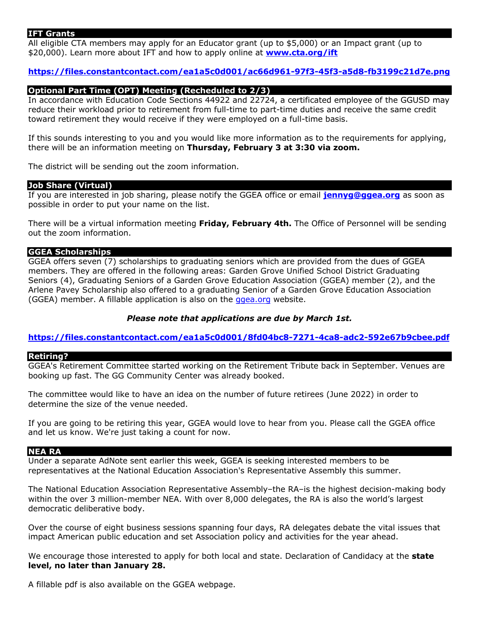## **IFT Grants**

All eligible CTA members may apply for an Educator grant (up to \$5,000) or an Impact grant (up to \$20,000). Learn more about IFT and how to apply online at **www.cta.org/ift**

## **https://files.constantcontact.com/ea1a5c0d001/ac66d961-97f3-45f3-a5d8-fb3199c21d7e.png**

## **Optional Part Time (OPT) Meeting (Recheduled to 2/3)**

In accordance with Education Code Sections 44922 and 22724, a certificated employee of the GGUSD may reduce their workload prior to retirement from full-time to part-time duties and receive the same credit toward retirement they would receive if they were employed on a full-time basis.

If this sounds interesting to you and you would like more information as to the requirements for applying, there will be an information meeting on **Thursday, February 3 at 3:30 via zoom.**

The district will be sending out the zoom information.

#### **Job Share (Virtual)**

If you are interested in job sharing, please notify the GGEA office or email **jennyg@ggea.org** as soon as possible in order to put your name on the list.

There will be a virtual information meeting **Friday, February 4th.** The Office of Personnel will be sending out the zoom information.

#### **GGEA Scholarships**

GGEA offers seven (7) scholarships to graduating seniors which are provided from the dues of GGEA members. They are offered in the following areas: Garden Grove Unified School District Graduating Seniors (4), Graduating Seniors of a Garden Grove Education Association (GGEA) member (2), and the Arlene Pavey Scholarship also offered to a graduating Senior of a Garden Grove Education Association (GGEA) member. A fillable application is also on the *ggea.org* website.

## *Please note that applications are due by March 1st.*

**https://files.constantcontact.com/ea1a5c0d001/8fd04bc8-7271-4ca8-adc2-592e67b9cbee.pdf**

#### **Retiring?**

GGEA's Retirement Committee started working on the Retirement Tribute back in September. Venues are booking up fast. The GG Community Center was already booked.

The committee would like to have an idea on the number of future retirees (June 2022) in order to determine the size of the venue needed.

If you are going to be retiring this year, GGEA would love to hear from you. Please call the GGEA office and let us know. We're just taking a count for now.

#### **NEA RA**

Under a separate AdNote sent earlier this week, GGEA is seeking interested members to be representatives at the National Education Association's Representative Assembly this summer.

The National Education Association Representative Assembly–the RA–is the highest decision-making body within the over 3 million-member NEA. With over 8,000 delegates, the RA is also the world's largest democratic deliberative body.

Over the course of eight business sessions spanning four days, RA delegates debate the vital issues that impact American public education and set Association policy and activities for the year ahead.

We encourage those interested to apply for both local and state. Declaration of Candidacy at the **state level, no later than January 28.**

A fillable pdf is also available on the GGEA webpage.